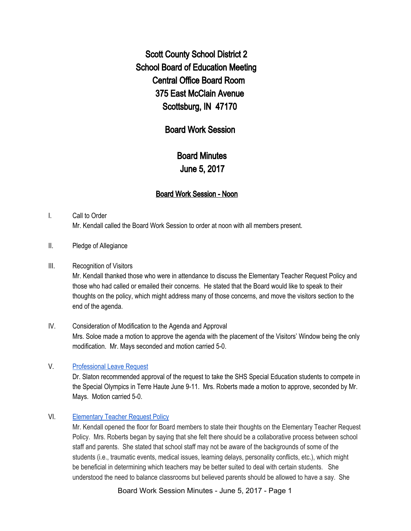Scott County School District 2 School Board of Education Meeting Central Office Board Room 375 East McClain Avenue Scottsburg, IN 47170

## Board Work Session

# Board Minutes June 5, 2017

## Board Work Session - Noon

## I. Call to Order Mr. Kendall called the Board Work Session to order at noon with all members present.

#### II. Pledge of Allegiance

#### III. Recognition of Visitors

Mr. Kendall thanked those who were in attendance to discuss the Elementary Teacher Request Policy and those who had called or emailed their concerns. He stated that the Board would like to speak to their thoughts on the policy, which might address many of those concerns, and move the visitors section to the end of the agenda.

## IV. Consideration of Modification to the Agenda and Approval Mrs. Soloe made a motion to approve the agenda with the placement of the Visitors' Window being the only modification. Mr. Mays seconded and motion carried 5-0.

## V. [Professional](https://drive.google.com/file/d/0BxXvxnGh3EX1akpCY2V6aDBBSWkzLTdBTGltX0VWZWpGRE9r/view) Leave Request

Dr. Slaton recommended approval of the request to take the SHS Special Education students to compete in the Special Olympics in Terre Haute June 9-11. Mrs. Roberts made a motion to approve, seconded by Mr. Mays. Motion carried 5-0.

#### VI. [Elementary](https://docs.google.com/document/d/1L1AGnv06mzB4EgyBJbJpcxpe1oAsG3rH4w2eTa81zqs/edit) Teacher Request Policy

Mr. Kendall opened the floor for Board members to state their thoughts on the Elementary Teacher Request Policy. Mrs. Roberts began by saying that she felt there should be a collaborative process between school staff and parents. She stated that school staff may not be aware of the backgrounds of some of the students (i.e., traumatic events, medical issues, learning delays, personality conflicts, etc.), which might be beneficial in determining which teachers may be better suited to deal with certain students. She understood the need to balance classrooms but believed parents should be allowed to have a say. She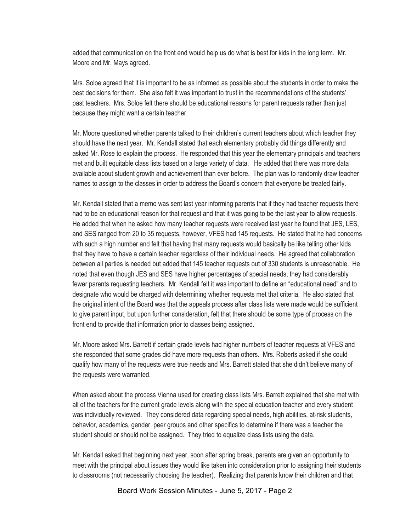added that communication on the front end would help us do what is best for kids in the long term. Mr. Moore and Mr. Mays agreed.

Mrs. Soloe agreed that it is important to be as informed as possible about the students in order to make the best decisions for them. She also felt it was important to trust in the recommendations of the students' past teachers. Mrs. Soloe felt there should be educational reasons for parent requests rather than just because they might want a certain teacher.

Mr. Moore questioned whether parents talked to their children's current teachers about which teacher they should have the next year. Mr. Kendall stated that each elementary probably did things differently and asked Mr. Rose to explain the process. He responded that this year the elementary principals and teachers met and built equitable class lists based on a large variety of data. He added that there was more data available about student growth and achievement than ever before. The plan was to randomly draw teacher names to assign to the classes in order to address the Board's concern that everyone be treated fairly.

Mr. Kendall stated that a memo was sent last year informing parents that if they had teacher requests there had to be an educational reason for that request and that it was going to be the last year to allow requests. He added that when he asked how many teacher requests were received last year he found that JES, LES, and SES ranged from 20 to 35 requests, however, VFES had 145 requests. He stated that he had concerns with such a high number and felt that having that many requests would basically be like telling other kids that they have to have a certain teacher regardless of their individual needs. He agreed that collaboration between all parties is needed but added that 145 teacher requests out of 330 students is unreasonable. He noted that even though JES and SES have higher percentages of special needs, they had considerably fewer parents requesting teachers. Mr. Kendall felt it was important to define an "educational need" and to designate who would be charged with determining whether requests met that criteria. He also stated that the original intent of the Board was that the appeals process after class lists were made would be sufficient to give parent input, but upon further consideration, felt that there should be some type of process on the front end to provide that information prior to classes being assigned.

Mr. Moore asked Mrs. Barrett if certain grade levels had higher numbers of teacher requests at VFES and she responded that some grades did have more requests than others. Mrs. Roberts asked if she could qualify how many of the requests were true needs and Mrs. Barrett stated that she didn't believe many of the requests were warranted.

When asked about the process Vienna used for creating class lists Mrs. Barrett explained that she met with all of the teachers for the current grade levels along with the special education teacher and every student was individually reviewed. They considered data regarding special needs, high abilities, at-risk students, behavior, academics, gender, peer groups and other specifics to determine if there was a teacher the student should or should not be assigned. They tried to equalize class lists using the data.

Mr. Kendall asked that beginning next year, soon after spring break, parents are given an opportunity to meet with the principal about issues they would like taken into consideration prior to assigning their students to classrooms (not necessarily choosing the teacher). Realizing that parents know their children and that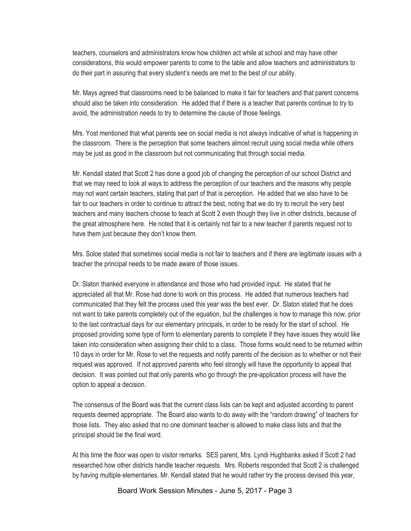teachers, counselors and administrators know how children act while at school and may have other considerations, this would empower parents to come to the table and allow teachers and administrators to do their part in assuring that every student's needs are met to the best of our ability.

Mr. Mays agreed that classrooms need to be balanced to make it fair for teachers and that parent concerns should also be taken into consideration. He added that if there is a teacher that parents continue to try to avoid, the administration needs to try to determine the cause of those feelings.

Mrs. Yost mentioned that what parents see on social media is not always indicative of what is happening in the classroom. There is the perception that some teachers almost recruit using social media while others may be just as good in the classroom but not communicating that through social media.

Mr. Kendall stated that Scott 2 has done a good job of changing the perception of our school District and that we may need to look at ways to address the perception of our teachers and the reasons why people may not want certain teachers, stating that part of that is perception. He added that we also have to be fair to our teachers in order to continue to attract the best, noting that we do try to recruit the very best teachers and many teachers choose to teach at Scott 2 even though they live in other districts, because of the great atmosphere here. He noted that it is certainly not fair to a new teacher if parents request not to have them just because they don't know them.

Mrs. Soloe stated that sometimes social media is not fair to teachers and if there are legitimate issues with a teacher the principal needs to be made aware of those issues.

Dr. Slaton thanked everyone in attendance and those who had provided input. He stated that he appreciated all that Mr. Rose had done to work on this process. He added that numerous teachers had communicated that they felt the process used this year was the best ever. Dr. Slaton stated that he does not want to take parents completely out of the equation, but the challenges is how to manage this now, prior to the last contractual days for our elementary principals, in order to be ready for the start of school. He proposed providing some type of form to elementary parents to complete if they have issues they would like taken into consideration when assigning their child to a class. Those forms would need to be returned within 10 days in order for Mr. Rose to vet the requests and notify parents of the decision as to whether or not their request was approved. If not approved parents who feel strongly will have the opportunity to appeal that decision. It was pointed out that only parents who go through the pre-application process will have the option to appeal a decision.

The consensus of the Board was that the current class lists can be kept and adjusted according to parent requests deemed appropriate. The Board also wants to do away with the "random drawing" of teachers for those lists. They also asked that no one dominant teacher is allowed to make class lists and that the principal should be the final word.

At this time the floor was open to visitor remarks. SES parent, Mrs. Lyndi Hughbanks asked if Scott 2 had researched how other districts handle teacher requests. Mrs. Roberts responded that Scott 2 is challenged by having multiple elementaries. Mr. Kendall stated that he would rather try the process devised this year,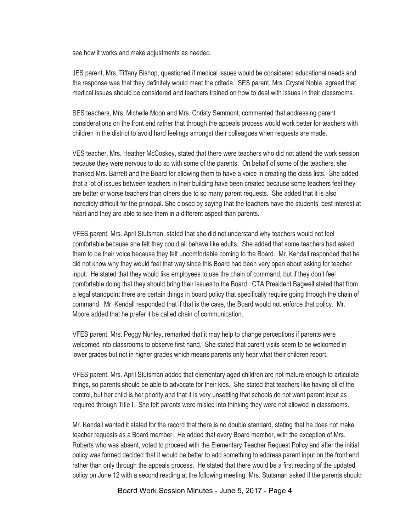see how it works and make adjustments as needed.

JES parent, Mrs. Tiffany Bishop, questioned if medical issues would be considered educational needs and the response was that they definitely would meet the criteria. SES parent, Mrs. Crystal Noble, agreed that medical issues should be considered and teachers trained on how to deal with issues in their classrooms.

SES teachers, Mrs. Michelle Moon and Mrs. Christy Semmont, commented that addressing parent considerations on the front end rather that through the appeals process would work better for teachers with children in the district to avoid hard feelings amongst their colleagues when requests are made.

VES teacher, Mrs. Heather McCoskey, stated that there were teachers who did not attend the work session because they were nervous to do so with some of the parents. On behalf of some of the teachers, she thanked Mrs. Barrett and the Board for allowing them to have a voice in creating the class lists. She added that a lot of issues between teachers in their building have been created because some teachers feel they are better or worse teachers than others due to so many parent requests. She added that it is also incredibly difficult for the principal. She closed by saying that the teachers have the students' best interest at heart and they are able to see them in a different aspect than parents.

VFES parent, Mrs. April Stutsman, stated that she did not understand why teachers would not feel comfortable because she felt they could all behave like adults. She added that some teachers had asked them to be their voice because they felt uncomfortable coming to the Board. Mr. Kendall responded that he did not know why they would feel that way since this Board had been very open about asking for teacher input. He stated that they would like employees to use the chain of command, but if they don't feel comfortable doing that they should bring their issues to the Board. CTA President Bagwell stated that from a legal standpoint there are certain things in board policy that specifically require going through the chain of command. Mr. Kendall responded that if that is the case, the Board would not enforce that policy. Mr. Moore added that he prefer it be called chain of communication.

VFES parent, Mrs. Peggy Nunley, remarked that it may help to change perceptions if parents were welcomed into classrooms to observe first hand. She stated that parent visits seem to be welcomed in lower grades but not in higher grades which means parents only hear what their children report.

VFES parent, Mrs. April Stutsman added that elementary aged children are not mature enough to articulate things, so parents should be able to advocate for their kids. She stated that teachers like having all of the control, but her child is her priority and that it is very unsettling that schools do not want parent input as required through Title I. She felt parents were misled into thinking they were not allowed in classrooms.

Mr. Kendall wanted it stated for the record that there is no double standard, stating that he does not make teacher requests as a Board member. He added that every Board member, with the exception of Mrs. Roberts who was absent, voted to proceed with the Elementary Teacher Request Policy and after the initial policy was formed decided that it would be better to add something to address parent input on the front end rather than only through the appeals process. He stated that there would be a first reading of the updated policy on June 12 with a second reading at the following meeting. Mrs. Stutsman asked if the parents should